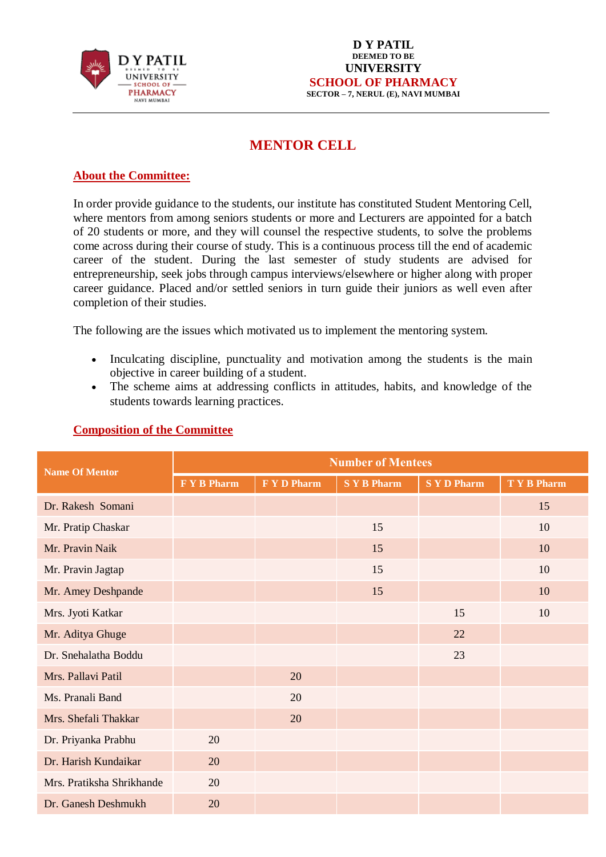

#### **D Y PATIL DEEMED TO BE UNIVERSITY SCHOOL OF PHARMACY SECTOR – 7, NERUL (E), NAVI MUMBAI**

# **MENTOR CELL**

## **About the Committee:**

In order provide guidance to the students, our institute has constituted Student Mentoring Cell, where mentors from among seniors students or more and Lecturers are appointed for a batch of 20 students or more, and they will counsel the respective students, to solve the problems come across during their course of study. This is a continuous process till the end of academic career of the student. During the last semester of study students are advised for entrepreneurship, seek jobs through campus interviews/elsewhere or higher along with proper career guidance. Placed and/or settled seniors in turn guide their juniors as well even after completion of their studies.

The following are the issues which motivated us to implement the mentoring system.

- Inculcating discipline, punctuality and motivation among the students is the main objective in career building of a student.
- The scheme aims at addressing conflicts in attitudes, habits, and knowledge of the students towards learning practices.

| Name Of Mentor            | <b>Number of Mentees</b> |                  |                  |                  |                  |
|---------------------------|--------------------------|------------------|------------------|------------------|------------------|
|                           | F Y B Pharm              | <b>FYD Pharm</b> | <b>SYB</b> Pharm | <b>SYD Pharm</b> | <b>TYB</b> Pharm |
| Dr. Rakesh Somani         |                          |                  |                  |                  | 15               |
| Mr. Pratip Chaskar        |                          |                  | 15               |                  | 10               |
| Mr. Pravin Naik           |                          |                  | 15               |                  | 10               |
| Mr. Pravin Jagtap         |                          |                  | 15               |                  | 10               |
| Mr. Amey Deshpande        |                          |                  | 15               |                  | 10               |
| Mrs. Jyoti Katkar         |                          |                  |                  | 15               | 10               |
| Mr. Aditya Ghuge          |                          |                  |                  | 22               |                  |
| Dr. Snehalatha Boddu      |                          |                  |                  | 23               |                  |
| Mrs. Pallavi Patil        |                          | 20               |                  |                  |                  |
| Ms. Pranali Band          |                          | 20               |                  |                  |                  |
| Mrs. Shefali Thakkar      |                          | 20               |                  |                  |                  |
| Dr. Priyanka Prabhu       | 20                       |                  |                  |                  |                  |
| Dr. Harish Kundaikar      | 20                       |                  |                  |                  |                  |
| Mrs. Pratiksha Shrikhande | 20                       |                  |                  |                  |                  |
| Dr. Ganesh Deshmukh       | 20                       |                  |                  |                  |                  |

### **Composition of the Committee**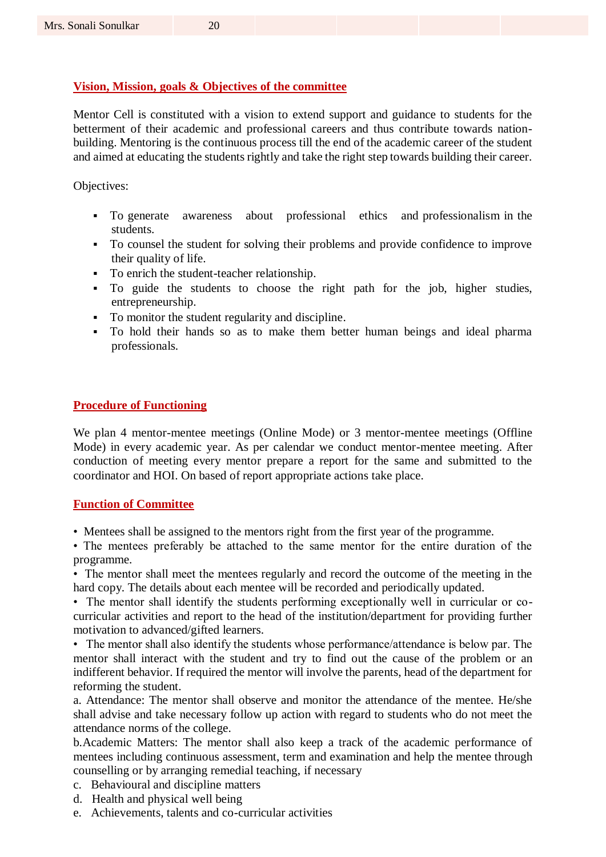### **Vision, Mission, goals & Objectives of the committee**

Mentor Cell is constituted with a vision to extend support and guidance to students for the betterment of their academic and professional careers and thus contribute towards nationbuilding. Mentoring is the continuous process till the end of the academic career of the student and aimed at educating the students rightly and take the right step towards building their career.

Objectives:

- To generate awareness about professional ethics and professionalism in the students.
- To counsel the student for solving their problems and provide confidence to improve their quality of life.
- To enrich the student-teacher relationship.
- To guide the students to choose the right path for the job, higher studies, entrepreneurship.
- To monitor the student regularity and discipline.
- To hold their hands so as to make them better human beings and ideal pharma professionals.

#### **Procedure of Functioning**

We plan 4 mentor-mentee meetings (Online Mode) or 3 mentor-mentee meetings (Offline Mode) in every academic year. As per calendar we conduct mentor-mentee meeting. After conduction of meeting every mentor prepare a report for the same and submitted to the coordinator and HOI. On based of report appropriate actions take place.

#### **Function of Committee**

• Mentees shall be assigned to the mentors right from the first year of the programme.

• The mentees preferably be attached to the same mentor for the entire duration of the programme.

• The mentor shall meet the mentees regularly and record the outcome of the meeting in the hard copy. The details about each mentee will be recorded and periodically updated.

• The mentor shall identify the students performing exceptionally well in curricular or cocurricular activities and report to the head of the institution/department for providing further motivation to advanced/gifted learners.

• The mentor shall also identify the students whose performance/attendance is below par. The mentor shall interact with the student and try to find out the cause of the problem or an indifferent behavior. If required the mentor will involve the parents, head of the department for reforming the student.

a. Attendance: The mentor shall observe and monitor the attendance of the mentee. He/she shall advise and take necessary follow up action with regard to students who do not meet the attendance norms of the college.

b.Academic Matters: The mentor shall also keep a track of the academic performance of mentees including continuous assessment, term and examination and help the mentee through counselling or by arranging remedial teaching, if necessary

- c. Behavioural and discipline matters
- d. Health and physical well being
- e. Achievements, talents and co-curricular activities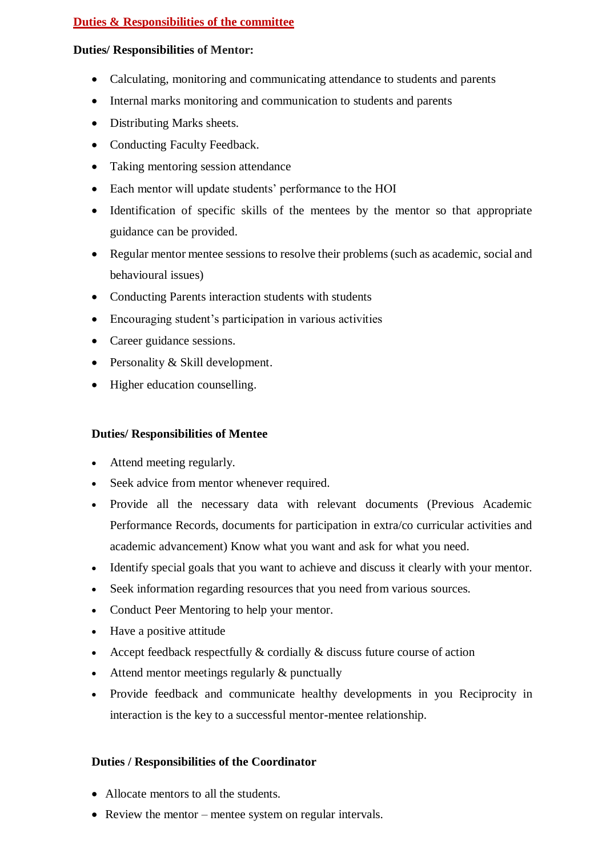## **Duties & Responsibilities of the committee**

## **Duties/ Responsibilities of Mentor:**

- Calculating, monitoring and communicating attendance to students and parents
- Internal marks monitoring and communication to students and parents
- Distributing Marks sheets.
- Conducting Faculty Feedback.
- Taking mentoring session attendance
- Each mentor will update students' performance to the HOI
- Identification of specific skills of the mentees by the mentor so that appropriate guidance can be provided.
- Regular mentor mentee sessions to resolve their problems (such as academic, social and behavioural issues)
- Conducting Parents interaction students with students
- Encouraging student's participation in various activities
- Career guidance sessions.
- Personality & Skill development.
- Higher education counselling.

## **Duties/ Responsibilities of Mentee**

- Attend meeting regularly.
- Seek advice from mentor whenever required.
- Provide all the necessary data with relevant documents (Previous Academic Performance Records, documents for participation in extra/co curricular activities and academic advancement) Know what you want and ask for what you need.
- Identify special goals that you want to achieve and discuss it clearly with your mentor.
- Seek information regarding resources that you need from various sources.
- Conduct Peer Mentoring to help your mentor.
- Have a positive attitude
- Accept feedback respectfully  $&$  cordially  $&$  discuss future course of action
- Attend mentor meetings regularly & punctually
- Provide feedback and communicate healthy developments in you Reciprocity in interaction is the key to a successful mentor-mentee relationship.

## **Duties / Responsibilities of the Coordinator**

- Allocate mentors to all the students.
- Review the mentor mentee system on regular intervals.